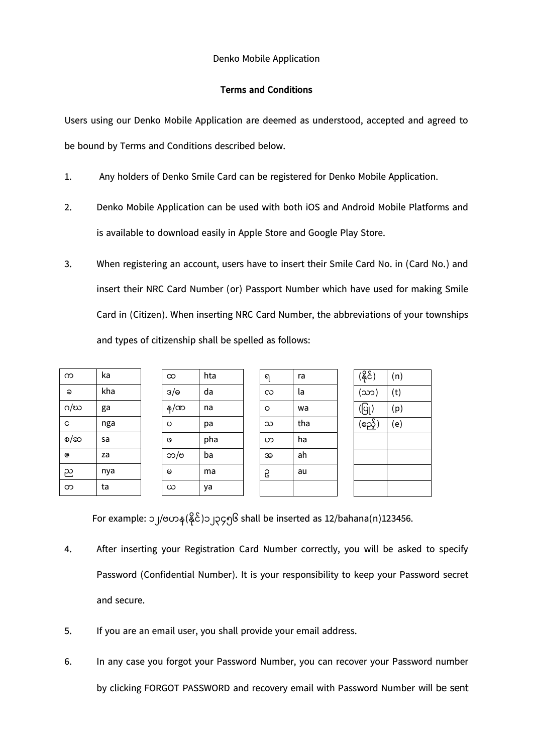## Denko Mobile Application

## **Terms and Conditions**

Users using our Denko Mobile Application are deemed as understood, accepted and agreed to be bound by Terms and Conditions described below.

- 1. Any holders of Denko Smile Card can be registered for Denko Mobile Application.
- 2. Denko Mobile Application can be used with both iOS and Android Mobile Platforms and is available to download easily in Apple Store and Google Play Store.
- 3. When registering an account, users have to insert their Smile Card No. in (Card No.) and insert their NRC Card Number (or) Passport Number which have used for making Smile Card in (Citizen). When inserting NRC Card Number, the abbreviations of your townships and types of citizenship shall be spelled as follows:

| ka  |
|-----|
| kha |
| ga  |
| nga |
| sa  |
| za  |
| nya |
| ta  |
|     |

| $\infty$    | hta |
|-------------|-----|
| 3/6         | da  |
| န $/\infty$ | na  |
| $\circ$     | pa  |
| $\circ$     | pha |
| ဘ/ဗ         | ba  |
| $\omega$    | ma  |
| ယ           | va  |

ရ ra လ la ဝ wa သ tha ဟ ha အ ah ဥ au

| (နိုင်)                            | (n) |
|------------------------------------|-----|
| (သာ)                               | (t) |
| $\left(\overline{\bigcirc}\right)$ | (p) |
| (ဧည့်)                             | (e) |
|                                    |     |
|                                    |     |
|                                    |     |
|                                    |     |

For example: ၁၂/ဗဟန $(\frac{2}{5})$ ၁၂၃၄၅၆ shall be inserted as 12/bahana(n)123456.

- 4. After inserting your Registration Card Number correctly, you will be asked to specify Password (Confidential Number). It is your responsibility to keep your Password secret and secure.
- 5. If you are an email user, you shall provide your email address.
- 6. In any case you forgot your Password Number, you can recover your Password number by clicking FORGOT PASSWORD and recovery email with Password Number will be sent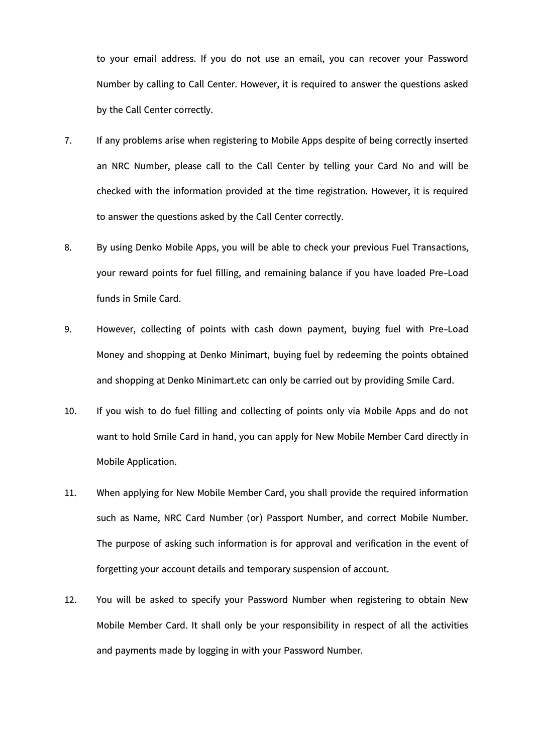to your email address. If you do not use an email, you can recover your Password Number by calling to Call Center. However, it is required to answer the questions asked by the Call Center correctly.

- 7. If any problems arise when registering to Mobile Apps despite of being correctly inserted an NRC Number, please call to the Call Center by telling your Card No and will be checked with the information provided at the time registration. However, it is required to answer the questions asked by the Call Center correctly.
- 8. By using Denko Mobile Apps, you will be able to check your previous Fuel Transactions, your reward points for fuel filling, and remaining balance if you have loaded Pre-Load funds in Smile Card.
- 9. However, collecting of points with cash down payment, buying fuel with Pre-Load Money and shopping at Denko Minimart, buying fuel by redeeming the points obtained and shopping at Denko Minimart.etc can only be carried out by providing Smile Card.
- 10. If you wish to do fuel filling and collecting of points only via Mobile Apps and do not want to hold Smile Card in hand, you can apply for New Mobile Member Card directly in Mobile Application.
- 11. When applying for New Mobile Member Card, you shall provide the required information such as Name, NRC Card Number (or) Passport Number, and correct Mobile Number. The purpose of asking such information is for approval and verification in the event of forgetting your account details and temporary suspension of account.
- 12. You will be asked to specify your Password Number when registering to obtain New Mobile Member Card. It shall only be your responsibility in respect of all the activities and payments made by logging in with your Password Number.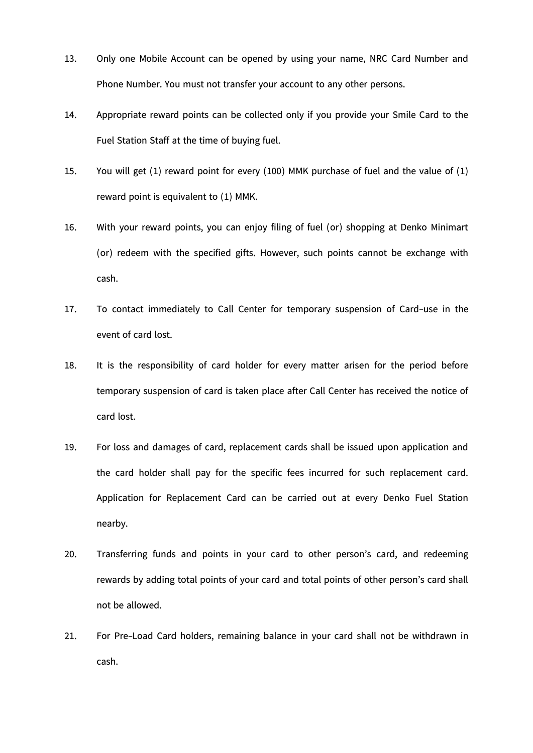- 13. Only one Mobile Account can be opened by using your name, NRC Card Number and Phone Number. You must not transfer your account to any other persons.
- 14. Appropriate reward points can be collected only if you provide your Smile Card to the Fuel Station Staff at the time of buying fuel.
- 15. You will get (1) reward point for every (100) MMK purchase of fuel and the value of (1) reward point is equivalent to (1) MMK.
- 16. With your reward points, you can enjoy filing of fuel (or) shopping at Denko Minimart (or) redeem with the specified gifts. However, such points cannot be exchange with cash.
- 17. To contact immediately to Call Center for temporary suspension of Card-use in the event of card lost.
- 18. It is the responsibility of card holder for every matter arisen for the period before temporary suspension of card is taken place after Call Center has received the notice of card lost.
- 19. For loss and damages of card, replacement cards shall be issued upon application and the card holder shall pay for the specific fees incurred for such replacement card. Application for Replacement Card can be carried out at every Denko Fuel Station nearby.
- 20. Transferring funds and points in your card to other person's card, and redeeming rewards by adding total points of your card and total points of other person's card shall not be allowed.
- 21. For Pre-Load Card holders, remaining balance in your card shall not be withdrawn in cash.